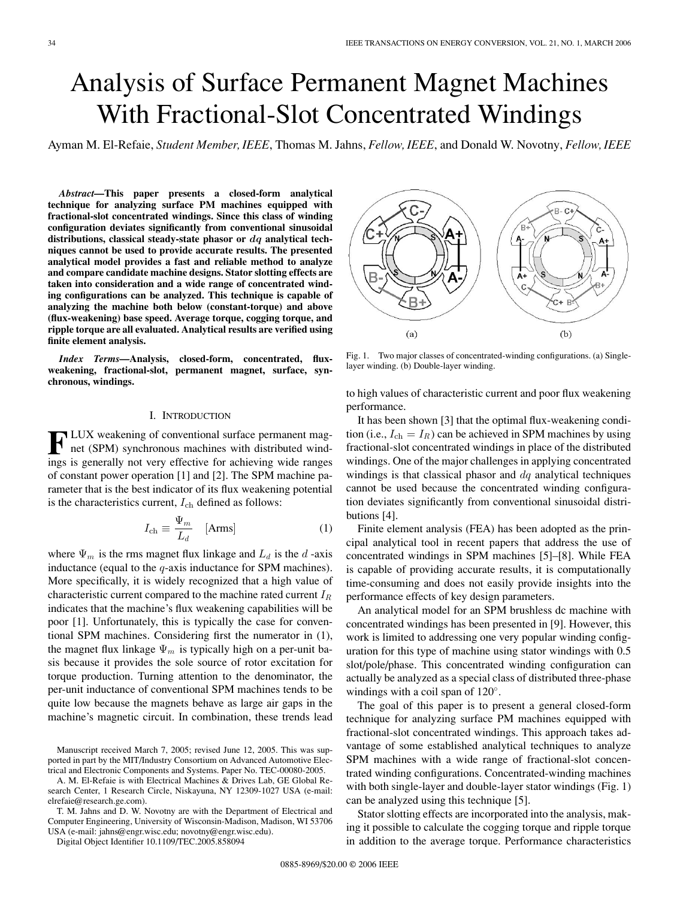# Analysis of Surface Permanent Magnet Machines With Fractional-Slot Concentrated Windings

Ayman M. El-Refaie, *Student Member, IEEE*, Thomas M. Jahns, *Fellow, IEEE*, and Donald W. Novotny, *Fellow, IEEE*

*Abstract***—This paper presents a closed-form analytical technique for analyzing surface PM machines equipped with fractional-slot concentrated windings. Since this class of winding configuration deviates significantly from conventional sinusoidal distributions, classical steady-state phasor or** *dq* **analytical techniques cannot be used to provide accurate results. The presented analytical model provides a fast and reliable method to analyze and compare candidate machine designs. Stator slotting effects are taken into consideration and a wide range of concentrated winding configurations can be analyzed. This technique is capable of analyzing the machine both below (constant-torque) and above (flux-weakening) base speed. Average torque, cogging torque, and ripple torque are all evaluated. Analytical results are verified using finite element analysis.**

*Index Terms***—Analysis, closed-form, concentrated, fluxweakening, fractional-slot, permanent magnet, surface, synchronous, windings.**

## I. INTRODUCTION

**F**LUX weakening of conventional surface permanent mag-<br>**F** net (SPM) synchronous consults net (SPM) synchronous machines with distributed windings is generally not very effective for achieving wide ranges of constant power operation [1] and [2]. The SPM machine parameter that is the best indicator of its flux weakening potential is the characteristics current,  $I_{ch}$  defined as follows:

$$
I_{\text{ch}} \equiv \frac{\Psi_m}{L_d} \quad \text{[Arms]} \tag{1}
$$

where  $\Psi_m$  is the rms magnet flux linkage and  $L_d$  is the d-axis inductance (equal to the  $q$ -axis inductance for SPM machines). More specifically, it is widely recognized that a high value of characteristic current compared to the machine rated current  $I_R$ indicates that the machine's flux weakening capabilities will be poor [1]. Unfortunately, this is typically the case for conventional SPM machines. Considering first the numerator in (1), the magnet flux linkage  $\Psi_m$  is typically high on a per-unit basis because it provides the sole source of rotor excitation for torque production. Turning attention to the denominator, the per-unit inductance of conventional SPM machines tends to be quite low because the magnets behave as large air gaps in the machine's magnetic circuit. In combination, these trends lead

A. M. El-Refaie is with Electrical Machines & Drives Lab, GE Global Research Center, 1 Research Circle, Niskayuna, NY 12309-1027 USA (e-mail: elrefaie@research.ge.com).

T. M. Jahns and D. W. Novotny are with the Department of Electrical and Computer Engineering, University of Wisconsin-Madison, Madison, WI 53706 USA (e-mail: jahns@engr.wisc.edu; novotny@engr.wisc.edu).



Fig. 1. Two major classes of concentrated-winding configurations. (a) Singlelayer winding. (b) Double-layer winding.

to high values of characteristic current and poor flux weakening performance.

It has been shown [3] that the optimal flux-weakening condition (i.e.,  $I_{ch} = I_R$ ) can be achieved in SPM machines by using fractional-slot concentrated windings in place of the distributed windings. One of the major challenges in applying concentrated windings is that classical phasor and  $dq$  analytical techniques cannot be used because the concentrated winding configuration deviates significantly from conventional sinusoidal distributions [4].

Finite element analysis (FEA) has been adopted as the principal analytical tool in recent papers that address the use of concentrated windings in SPM machines [5]–[8]. While FEA is capable of providing accurate results, it is computationally time-consuming and does not easily provide insights into the performance effects of key design parameters.

An analytical model for an SPM brushless dc machine with concentrated windings has been presented in [9]. However, this work is limited to addressing one very popular winding configuration for this type of machine using stator windings with 0.5 slot/pole/phase. This concentrated winding configuration can actually be analyzed as a special class of distributed three-phase windings with a coil span of 120◦.

The goal of this paper is to present a general closed-form technique for analyzing surface PM machines equipped with fractional-slot concentrated windings. This approach takes advantage of some established analytical techniques to analyze SPM machines with a wide range of fractional-slot concentrated winding configurations. Concentrated-winding machines with both single-layer and double-layer stator windings (Fig. 1) can be analyzed using this technique [5].

Stator slotting effects are incorporated into the analysis, making it possible to calculate the cogging torque and ripple torque in addition to the average torque. Performance characteristics

Manuscript received March 7, 2005; revised June 12, 2005. This was supported in part by the MIT/Industry Consortium on Advanced Automotive Electrical and Electronic Components and Systems. Paper No. TEC-00080-2005.

Digital Object Identifier 10.1109/TEC.2005.858094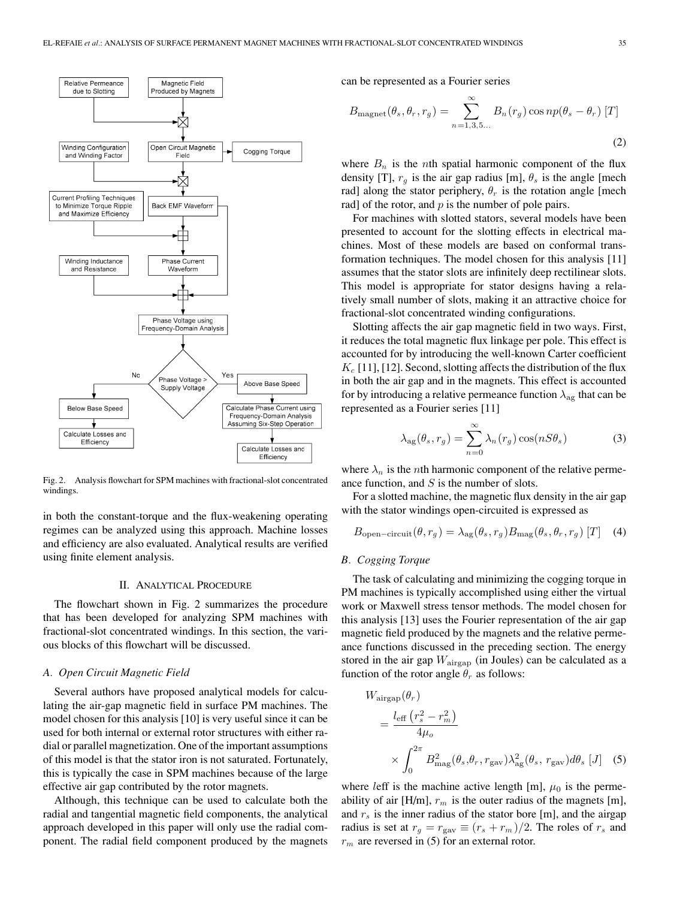

Fig. 2. Analysis flowchart for SPM machines with fractional-slot concentrated windings.

in both the constant-torque and the flux-weakening operating regimes can be analyzed using this approach. Machine losses and efficiency are also evaluated. Analytical results are verified using finite element analysis.

#### II. ANALYTICAL PROCEDURE

The flowchart shown in Fig. 2 summarizes the procedure that has been developed for analyzing SPM machines with fractional-slot concentrated windings. In this section, the various blocks of this flowchart will be discussed.

## *A. Open Circuit Magnetic Field*

Several authors have proposed analytical models for calculating the air-gap magnetic field in surface PM machines. The model chosen for this analysis [10] is very useful since it can be used for both internal or external rotor structures with either radial or parallel magnetization. One of the important assumptions of this model is that the stator iron is not saturated. Fortunately, this is typically the case in SPM machines because of the large effective air gap contributed by the rotor magnets.

Although, this technique can be used to calculate both the radial and tangential magnetic field components, the analytical approach developed in this paper will only use the radial component. The radial field component produced by the magnets can be represented as a Fourier series

$$
B_{\text{magnet}}(\theta_s, \theta_r, r_g) = \sum_{n=1,3,5...}^{\infty} B_n(r_g) \cos np(\theta_s - \theta_r) [T]
$$
\n(2)

where  $B_n$  is the *n*th spatial harmonic component of the flux density [T],  $r<sub>g</sub>$  is the air gap radius [m],  $\theta<sub>s</sub>$  is the angle [mech rad] along the stator periphery,  $\theta_r$  is the rotation angle [mech rad] of the rotor, and  $p$  is the number of pole pairs.

For machines with slotted stators, several models have been presented to account for the slotting effects in electrical machines. Most of these models are based on conformal transformation techniques. The model chosen for this analysis [11] assumes that the stator slots are infinitely deep rectilinear slots. This model is appropriate for stator designs having a relatively small number of slots, making it an attractive choice for fractional-slot concentrated winding configurations.

Slotting affects the air gap magnetic field in two ways. First, it reduces the total magnetic flux linkage per pole. This effect is accounted for by introducing the well-known Carter coefficient  $K_c$  [11], [12]. Second, slotting affects the distribution of the flux in both the air gap and in the magnets. This effect is accounted for by introducing a relative permeance function  $\lambda_{\alpha\alpha}$  that can be represented as a Fourier series [11]

$$
\lambda_{\rm ag}(\theta_s, r_g) = \sum_{n=0}^{\infty} \lambda_n(r_g) \cos(nS\theta_s)
$$
 (3)

where  $\lambda_n$  is the *n*th harmonic component of the relative permeance function, and  $S$  is the number of slots.

For a slotted machine, the magnetic flux density in the air gap with the stator windings open-circuited is expressed as

$$
B_{\text{open-circuit}}(\theta, r_g) = \lambda_{\text{ag}}(\theta_s, r_g) B_{\text{mag}}(\theta_s, \theta_r, r_g) [T] \quad (4)
$$

## *B. Cogging Torque*

The task of calculating and minimizing the cogging torque in PM machines is typically accomplished using either the virtual work or Maxwell stress tensor methods. The model chosen for this analysis [13] uses the Fourier representation of the air gap magnetic field produced by the magnets and the relative permeance functions discussed in the preceding section. The energy stored in the air gap  $W_{\text{airgap}}$  (in Joules) can be calculated as a function of the rotor angle  $\theta_r$  as follows:

$$
W_{\text{airgap}}(\theta_r)
$$
  
= 
$$
\frac{l_{\text{eff}} (r_s^2 - r_m^2)}{4\mu_o}
$$
  

$$
\times \int_0^{2\pi} B_{\text{mag}}^2(\theta_s, \theta_r, r_{\text{gav}}) \lambda_{\text{ag}}^2(\theta_s, r_{\text{gav}}) d\theta_s [J]
$$
 (5)

where leff is the machine active length [m],  $\mu_0$  is the permeability of air [H/m],  $r_m$  is the outer radius of the magnets [m], and  $r<sub>s</sub>$  is the inner radius of the stator bore [m], and the airgap radius is set at  $r_g = r_{\text{gav}} \equiv (r_s + r_m)/2$ . The roles of  $r_s$  and  $r<sub>m</sub>$  are reversed in (5) for an external rotor.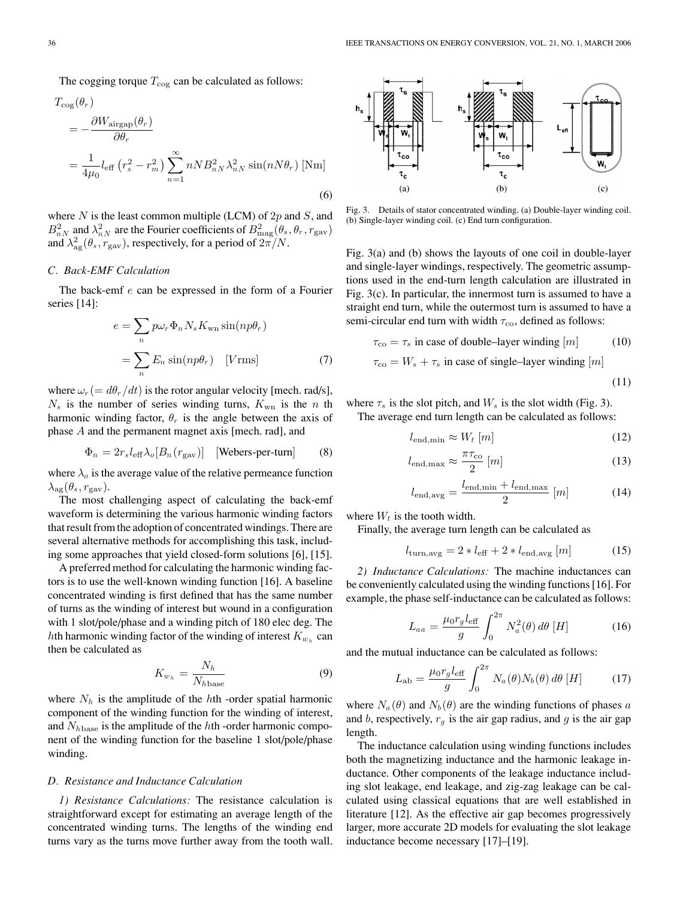The cogging torque  $T_{\text{cog}}$  can be calculated as follows:

$$
T_{\text{cog}}(\theta_r)
$$
  
=  $-\frac{\partial W_{\text{airgap}}(\theta_r)}{\partial \theta_r}$   
=  $\frac{1}{4\mu_0} l_{\text{eff}} (r_s^2 - r_m^2) \sum_{n=1}^{\infty} n N B_{nN}^2 \lambda_{nN}^2 \sin(n N \theta_r)$  [Nm] (6)

where  $N$  is the least common multiple (LCM) of  $2p$  and  $S$ , and  $B_{nN}^2$  and  $\lambda_{nN}^2$  are the Fourier coefficients of  $B_{\text{mag}}^2(\theta_s, \theta_r, r_{\text{gav}})$ and  $\lambda_{\rm ag}^2(\theta_s, r_{\rm gav})$ , respectively, for a period of  $2\pi/N$ .

#### *C. Back-EMF Calculation*

The back-emf e can be expressed in the form of a Fourier series [14]:

$$
e = \sum_{n} p\omega_{r} \Phi_{n} N_{s} K_{\text{wn}} \sin(np\theta_{r})
$$

$$
= \sum_{n} E_{n} \sin(np\theta_{r}) \quad [V \text{rms}] \tag{7}
$$

where  $\omega_r (= d\theta_r/dt)$  is the rotor angular velocity [mech. rad/s],  $N_s$  is the number of series winding turns,  $K_{\rm wn}$  is the n th harmonic winding factor,  $\theta_r$  is the angle between the axis of phase A and the permanent magnet axis [mech. rad], and

$$
\Phi_n = 2r_s l_{\text{eff}} \lambda_o[B_n(r_{\text{gav}})] \quad \text{[Webers-per-turn]} \tag{8}
$$

where  $\lambda_o$  is the average value of the relative permeance function  $\lambda_{\text{ag}}(\theta_s, r_{\text{gav}}).$ 

The most challenging aspect of calculating the back-emf waveform is determining the various harmonic winding factors that result from the adoption of concentrated windings. There are several alternative methods for accomplishing this task, including some approaches that yield closed-form solutions [6], [15].

A preferred method for calculating the harmonic winding factors is to use the well-known winding function [16]. A baseline concentrated winding is first defined that has the same number of turns as the winding of interest but wound in a configuration with 1 slot/pole/phase and a winding pitch of 180 elec deg. The hth harmonic winding factor of the winding of interest  $K_{w_h}$  can then be calculated as

$$
K_{w_h} = \frac{N_h}{N_h \text{base}} \tag{9}
$$

where  $N_h$  is the amplitude of the hth -order spatial harmonic component of the winding function for the winding of interest, and  $N_{h\text{base}}$  is the amplitude of the hth -order harmonic component of the winding function for the baseline 1 slot/pole/phase winding.

#### *D. Resistance and Inductance Calculation*

*1) Resistance Calculations:* The resistance calculation is straightforward except for estimating an average length of the concentrated winding turns. The lengths of the winding end turns vary as the turns move further away from the tooth wall.



Fig. 3. Details of stator concentrated winding. (a) Double-layer winding coil. (b) Single-layer winding coil. (c) End turn configuration.

Fig. 3(a) and (b) shows the layouts of one coil in double-layer and single-layer windings, respectively. The geometric assumptions used in the end-turn length calculation are illustrated in Fig. 3(c). In particular, the innermost turn is assumed to have a straight end turn, while the outermost turn is assumed to have a semi-circular end turn with width  $\tau_{\rm co}$ , defined as follows:

$$
\tau_{\rm co} = \tau_s \text{ in case of double-layer winding } [m] \tag{10}
$$

$$
\tau_{\rm co} = W_s + \tau_s
$$
 in case of single–layer winding [m]

$$
(11)
$$

where  $\tau_s$  is the slot pitch, and  $W_s$  is the slot width (Fig. 3).

The average end turn length can be calculated as follows:

$$
l_{\text{end,min}} \approx W_t \,[m] \tag{12}
$$

$$
l_{\text{end,max}} \approx \frac{\pi \tau_{\text{co}}}{2} [m] \tag{13}
$$

$$
l_{\text{end,avg}} = \frac{l_{\text{end,min}} + l_{\text{end,max}}}{2} [m] \tag{14}
$$

where  $W_t$  is the tooth width.

Finally, the average turn length can be calculated as

$$
l_{\text{turn,avg}} = 2 * l_{\text{eff}} + 2 * l_{\text{end,avg}} [m] \tag{15}
$$

*2) Inductance Calculations:* The machine inductances can be conveniently calculated using the winding functions [16]. For example, the phase self-inductance can be calculated as follows:

$$
L_{aa} = \frac{\mu_0 r_g l_{\text{eff}}}{g} \int_0^{2\pi} N_a^2(\theta) d\theta \, [H] \tag{16}
$$

and the mutual inductance can be calculated as follows:

$$
L_{\rm ab} = \frac{\mu_0 r_g l_{\rm eff}}{g} \int_0^{2\pi} N_a(\theta) N_b(\theta) d\theta \left[ H \right] \tag{17}
$$

where  $N_a(\theta)$  and  $N_b(\theta)$  are the winding functions of phases a and b, respectively,  $r<sub>g</sub>$  is the air gap radius, and g is the air gap length.

The inductance calculation using winding functions includes both the magnetizing inductance and the harmonic leakage inductance. Other components of the leakage inductance including slot leakage, end leakage, and zig-zag leakage can be calculated using classical equations that are well established in literature [12]. As the effective air gap becomes progressively larger, more accurate 2D models for evaluating the slot leakage inductance become necessary [17]–[19].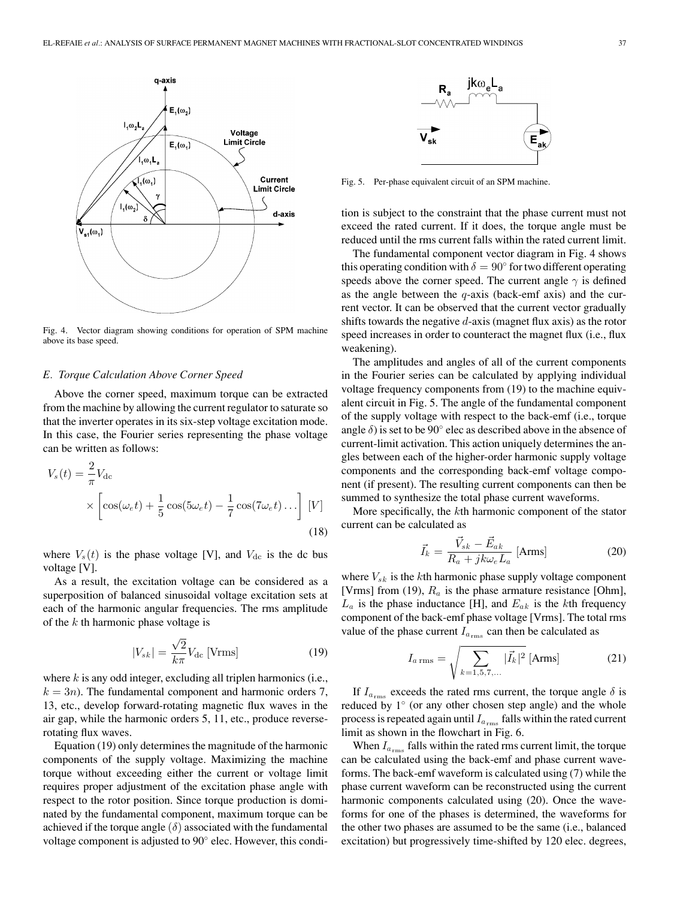

Fig. 4. Vector diagram showing conditions for operation of SPM machine above its base speed.

## *E. Torque Calculation Above Corner Speed*

Above the corner speed, maximum torque can be extracted from the machine by allowing the current regulator to saturate so that the inverter operates in its six-step voltage excitation mode. In this case, the Fourier series representing the phase voltage can be written as follows:

$$
V_s(t) = \frac{2}{\pi} V_{\text{dc}}
$$
  
 
$$
\times \left[ \cos(\omega_e t) + \frac{1}{5} \cos(5\omega_e t) - \frac{1}{7} \cos(7\omega_e t) \dots \right] [V]
$$
(18)

where  $V_s(t)$  is the phase voltage [V], and  $V_{dc}$  is the dc bus voltage [V].

As a result, the excitation voltage can be considered as a superposition of balanced sinusoidal voltage excitation sets at each of the harmonic angular frequencies. The rms amplitude of the  $k$  th harmonic phase voltage is

$$
|V_{sk}| = \frac{\sqrt{2}}{k\pi} V_{\text{dc}} \text{[Vrms]} \tag{19}
$$

where  $k$  is any odd integer, excluding all triplen harmonics (i.e.,  $k = 3n$ ). The fundamental component and harmonic orders 7, 13, etc., develop forward-rotating magnetic flux waves in the air gap, while the harmonic orders 5, 11, etc., produce reverserotating flux waves.

Equation (19) only determines the magnitude of the harmonic components of the supply voltage. Maximizing the machine torque without exceeding either the current or voltage limit requires proper adjustment of the excitation phase angle with respect to the rotor position. Since torque production is dominated by the fundamental component, maximum torque can be achieved if the torque angle  $(\delta)$  associated with the fundamental voltage component is adjusted to 90◦ elec. However, this condi-



Fig. 5. Per-phase equivalent circuit of an SPM machine.

tion is subject to the constraint that the phase current must not exceed the rated current. If it does, the torque angle must be reduced until the rms current falls within the rated current limit.

The fundamental component vector diagram in Fig. 4 shows this operating condition with  $\delta = 90^\circ$  for two different operating speeds above the corner speed. The current angle  $\gamma$  is defined as the angle between the  $q$ -axis (back-emf axis) and the current vector. It can be observed that the current vector gradually shifts towards the negative  $d$ -axis (magnet flux axis) as the rotor speed increases in order to counteract the magnet flux (i.e., flux weakening).

The amplitudes and angles of all of the current components in the Fourier series can be calculated by applying individual voltage frequency components from (19) to the machine equivalent circuit in Fig. 5. The angle of the fundamental component of the supply voltage with respect to the back-emf (i.e., torque angle  $\delta$ ) is set to be 90 $^{\circ}$  elec as described above in the absence of current-limit activation. This action uniquely determines the angles between each of the higher-order harmonic supply voltage components and the corresponding back-emf voltage component (if present). The resulting current components can then be summed to synthesize the total phase current waveforms.

More specifically, the kth harmonic component of the stator current can be calculated as

$$
\vec{I}_k = \frac{\vec{V}_{sk} - \vec{E}_{ak}}{R_a + jk\omega_e L_a} \text{ [Arms]}
$$
 (20)

where  $V_{sk}$  is the kth harmonic phase supply voltage component [Vrms] from (19),  $R_a$  is the phase armature resistance [Ohm],  $L_a$  is the phase inductance [H], and  $E_{ak}$  is the kth frequency component of the back-emf phase voltage [Vrms]. The total rms value of the phase current  $I_{a_{\text{rms}}}$  can then be calculated as

$$
I_{a\,\rm rms} = \sqrt{\sum_{k=1,5,7,\dots} |\vec{I}_k|^2} \,\mathrm{[Arms]}
$$
 (21)

If  $I_{a_{\text{rms}}}$  exceeds the rated rms current, the torque angle  $\delta$  is reduced by 1◦ (or any other chosen step angle) and the whole process is repeated again until  $I_{a_{\text{rms}}}$  falls within the rated current limit as shown in the flowchart in Fig. 6.

When  $I_{a_{\text{rms}}}$  falls within the rated rms current limit, the torque can be calculated using the back-emf and phase current waveforms. The back-emf waveform is calculated using (7) while the phase current waveform can be reconstructed using the current harmonic components calculated using (20). Once the waveforms for one of the phases is determined, the waveforms for the other two phases are assumed to be the same (i.e., balanced excitation) but progressively time-shifted by 120 elec. degrees,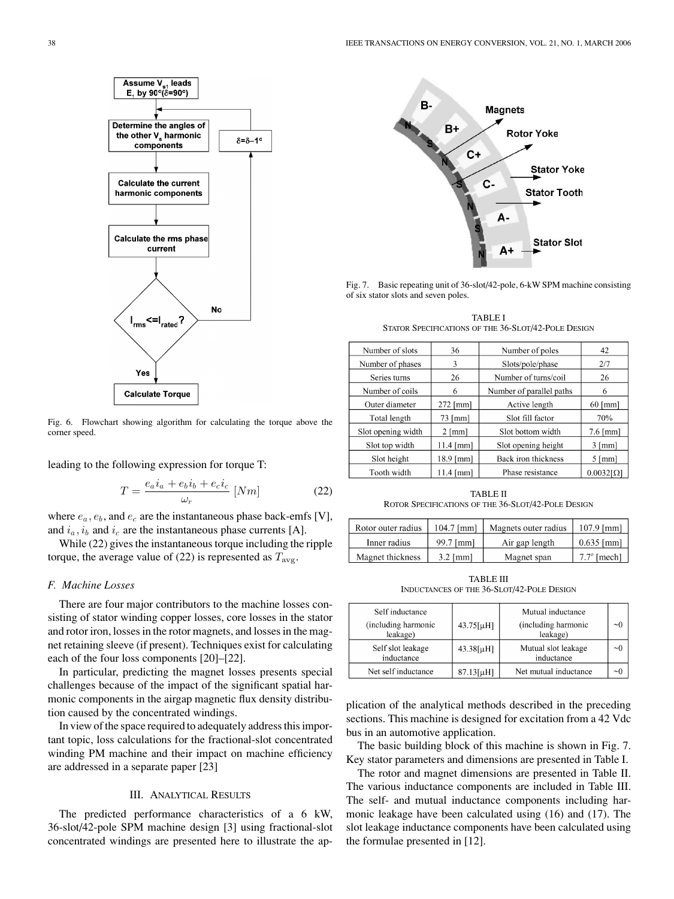

Fig. 6. Flowchart showing algorithm for calculating the torque above the corner speed.

leading to the following expression for torque T:

$$
T = \frac{e_a i_a + e_b i_b + e_c i_c}{\omega_r} \left[ Nm \right] \tag{22}
$$

where  $e_a, e_b$ , and  $e_c$  are the instantaneous phase back-emfs [V], and  $i_a$ ,  $i_b$  and  $i_c$  are the instantaneous phase currents [A].

While (22) gives the instantaneous torque including the ripple torque, the average value of (22) is represented as  $T_{\text{avg}}$ .

## *F. Machine Losses*

There are four major contributors to the machine losses consisting of stator winding copper losses, core losses in the stator and rotor iron, losses in the rotor magnets, and losses in the magnet retaining sleeve (if present). Techniques exist for calculating each of the four loss components [20]–[22].

In particular, predicting the magnet losses presents special challenges because of the impact of the significant spatial harmonic components in the airgap magnetic flux density distribution caused by the concentrated windings.

In view of the space required to adequately address this important topic, loss calculations for the fractional-slot concentrated winding PM machine and their impact on machine efficiency are addressed in a separate paper [23]

### III. ANALYTICAL RESULTS

The predicted performance characteristics of a 6 kW, 36-slot/42-pole SPM machine design [3] using fractional-slot concentrated windings are presented here to illustrate the ap-



Fig. 7. Basic repeating unit of 36-slot/42-pole, 6-kW SPM machine consisting of six stator slots and seven poles.

TABLE I STATOR SPECIFICATIONS OF THE 36-SLOT/42-POLE DESIGN

| Number of slots    | 36               | Number of poles          | 42                   |
|--------------------|------------------|--------------------------|----------------------|
| Number of phases   | 3                | Slots/pole/phase         | 2/7                  |
| Series turns       | 26               | Number of turns/coil     | 26                   |
| Number of coils    | 6                | Number of parallel paths | 6                    |
| Outer diameter     | $272$ [mm]       | Active length            | $60$ [mm]            |
| Total length       | $73$ [mm]        | Slot fill factor         | 70%                  |
| Slot opening width | $2 \text{ [mm]}$ | Slot bottom width        | $7.6$ [mm]           |
| Slot top width     | $11.4$ [mm]      | Slot opening height      | $3 \text{ [mm]}$     |
| Slot height        | 18.9 [mm]        | Back iron thickness      | $5 \, \mathrm{[mm]}$ |
| Tooth width        | $11.4$ [mm]      | Phase resistance         | $0.0032I\Omega$      |

TABLE II ROTOR SPECIFICATIONS OF THE 36-SLOT/42-POLE DESIGN

| Rotor outer radius | $104.7$ [mm] | Magnets outer radius | $107.9$ [mm]       |
|--------------------|--------------|----------------------|--------------------|
| Inner radius       | 99.7 [mm]    | Air gap length       | $0.635$ [mm]       |
| Magnet thickness   | $3.2$ [mm]   | Magnet span          | $7.7^\circ$ [mech] |

TABLE III INDUCTANCES OF THE 36-SLOT/42-POLE DESIGN

| Self inductance<br>(including harmonic<br>leakage) | $43.75[\mu H]$ | Mutual inductance<br>(including harmonic<br>leakage) | $\sim 0$ |
|----------------------------------------------------|----------------|------------------------------------------------------|----------|
| Self slot leakage<br>inductance                    | $43.38[\mu H]$ | Mutual slot leakage<br>inductance                    | $\sim 0$ |
| Net self inductance                                | $87.13[\mu H]$ | Net mutual inductance                                | $\sim$   |

plication of the analytical methods described in the preceding sections. This machine is designed for excitation from a 42 Vdc bus in an automotive application.

The basic building block of this machine is shown in Fig. 7. Key stator parameters and dimensions are presented in Table I.

The rotor and magnet dimensions are presented in Table II. The various inductance components are included in Table III. The self- and mutual inductance components including harmonic leakage have been calculated using (16) and (17). The slot leakage inductance components have been calculated using the formulae presented in [12].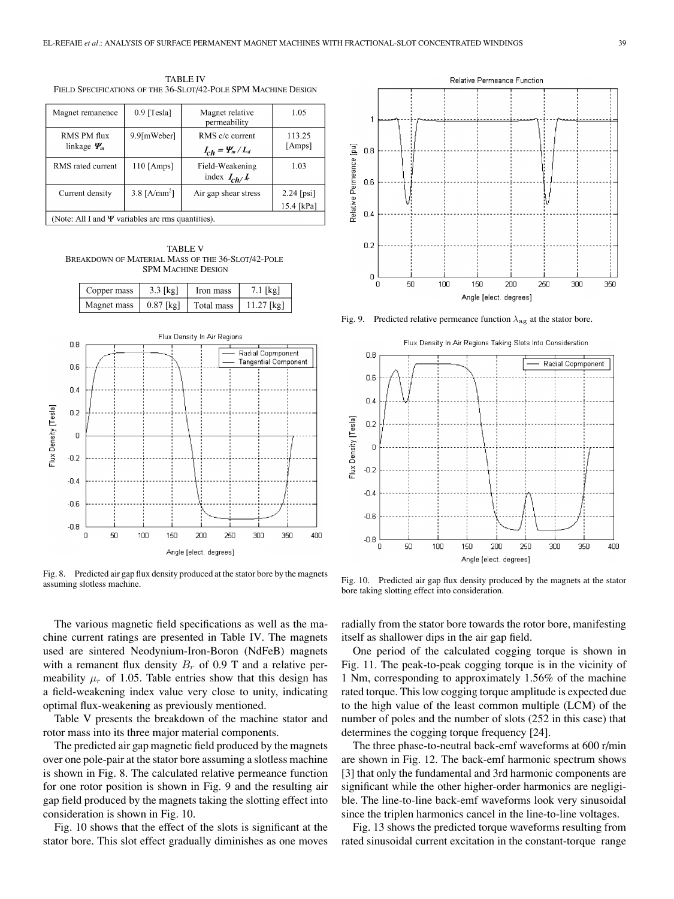| <b>TABLE IV</b>                                                |  |
|----------------------------------------------------------------|--|
| FIELD SPECIFICATIONS OF THE 36-SLOT/42-POLE SPM MACHINE DESIGN |  |

| Magnet remanence                                       | $0.9$ [Tesla]  | Magnet relative<br>permeability                  | 1.05                       |
|--------------------------------------------------------|----------------|--------------------------------------------------|----------------------------|
| RMS PM flux<br>linkage $\Psi_m$                        | 9.9[mWeber]    | RMS c/c current<br>$I_{ch} = \frac{\Psi_m}{L_d}$ | 113.25<br>[Amps]           |
| RMS rated current                                      | $110$ [Amps]   | Field-Weakening<br>index $I_{ch}/I_r$            | 1.03                       |
| Current density                                        | 3.8 $[A/mm^2]$ | Air gap shear stress                             | $2.24$ [psi]<br>15.4 [kPa] |
| (Note: All I and $\Psi$ variables are rms quantities). |                |                                                  |                            |

TABLE V BREAKDOWN OF MATERIAL MASS OF THE 36-SLOT/42-POLE SPM MACHINE DESIGN



Fig. 8. Predicted air gap flux density produced at the stator bore by the magnets assuming slotless machine.

The various magnetic field specifications as well as the machine current ratings are presented in Table IV. The magnets used are sintered Neodynium-Iron-Boron (NdFeB) magnets with a remanent flux density  $B_r$  of 0.9 T and a relative permeability  $\mu_r$  of 1.05. Table entries show that this design has a field-weakening index value very close to unity, indicating optimal flux-weakening as previously mentioned.

Table V presents the breakdown of the machine stator and rotor mass into its three major material components.

The predicted air gap magnetic field produced by the magnets over one pole-pair at the stator bore assuming a slotless machine is shown in Fig. 8. The calculated relative permeance function for one rotor position is shown in Fig. 9 and the resulting air gap field produced by the magnets taking the slotting effect into consideration is shown in Fig. 10.

Fig. 10 shows that the effect of the slots is significant at the stator bore. This slot effect gradually diminishes as one moves



Fig. 9. Predicted relative permeance function  $\lambda_{\text{ag}}$  at the stator bore.



Fig. 10. Predicted air gap flux density produced by the magnets at the stator bore taking slotting effect into consideration.

radially from the stator bore towards the rotor bore, manifesting itself as shallower dips in the air gap field.

One period of the calculated cogging torque is shown in Fig. 11. The peak-to-peak cogging torque is in the vicinity of 1 Nm, corresponding to approximately 1.56% of the machine rated torque. This low cogging torque amplitude is expected due to the high value of the least common multiple (LCM) of the number of poles and the number of slots (252 in this case) that determines the cogging torque frequency [24].

The three phase-to-neutral back-emf waveforms at 600 r/min are shown in Fig. 12. The back-emf harmonic spectrum shows [3] that only the fundamental and 3rd harmonic components are significant while the other higher-order harmonics are negligible. The line-to-line back-emf waveforms look very sinusoidal since the triplen harmonics cancel in the line-to-line voltages.

Fig. 13 shows the predicted torque waveforms resulting from rated sinusoidal current excitation in the constant-torque range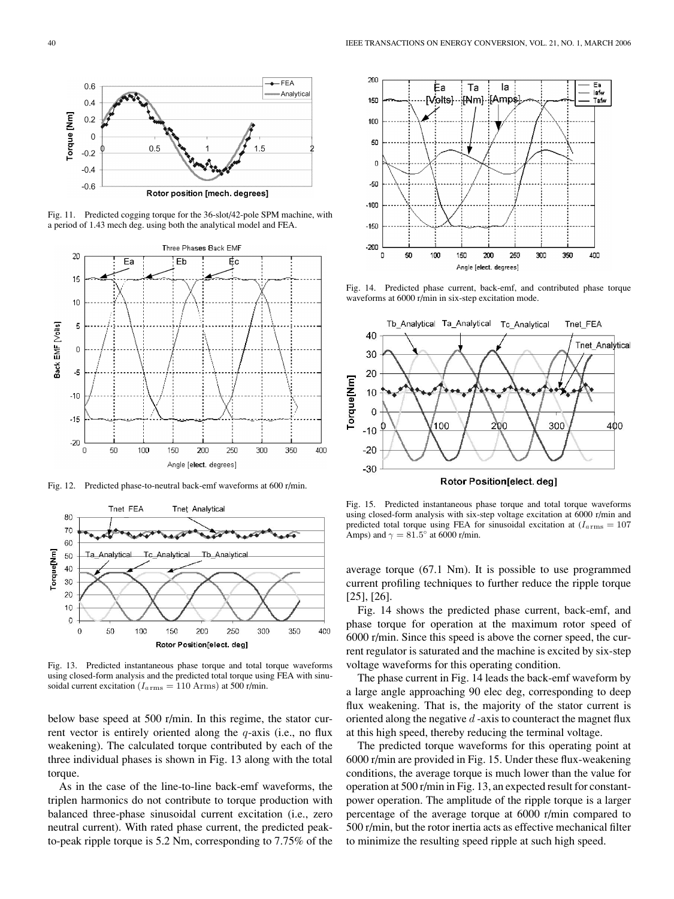

Fig. 11. Predicted cogging torque for the 36-slot/42-pole SPM machine, with a period of 1.43 mech deg. using both the analytical model and FEA.



Fig. 12. Predicted phase-to-neutral back-emf waveforms at 600 r/min.



Fig. 13. Predicted instantaneous phase torque and total torque waveforms using closed-form analysis and the predicted total torque using FEA with sinusoidal current excitation ( $I_{a\, {\rm rms}} = 110$  Arms) at 500 r/min.

below base speed at 500 r/min. In this regime, the stator current vector is entirely oriented along the  $q$ -axis (i.e., no flux weakening). The calculated torque contributed by each of the three individual phases is shown in Fig. 13 along with the total torque.

As in the case of the line-to-line back-emf waveforms, the triplen harmonics do not contribute to torque production with balanced three-phase sinusoidal current excitation (i.e., zero neutral current). With rated phase current, the predicted peakto-peak ripple torque is 5.2 Nm, corresponding to 7.75% of the



Fig. 14. Predicted phase current, back-emf, and contributed phase torque waveforms at 6000 r/min in six-step excitation mode.



Fig. 15. Predicted instantaneous phase torque and total torque waveforms using closed-form analysis with six-step voltage excitation at 6000 r/min and predicted total torque using FEA for sinusoidal excitation at  $(I_{a\, {\rm rms}} = 107$ Amps) and  $\gamma = 81.5^\circ$  at 6000 r/min.

average torque (67.1 Nm). It is possible to use programmed current profiling techniques to further reduce the ripple torque [25], [26].

Fig. 14 shows the predicted phase current, back-emf, and phase torque for operation at the maximum rotor speed of 6000 r/min. Since this speed is above the corner speed, the current regulator is saturated and the machine is excited by six-step voltage waveforms for this operating condition.

The phase current in Fig. 14 leads the back-emf waveform by a large angle approaching 90 elec deg, corresponding to deep flux weakening. That is, the majority of the stator current is oriented along the negative  $d$ -axis to counteract the magnet flux at this high speed, thereby reducing the terminal voltage.

The predicted torque waveforms for this operating point at 6000 r/min are provided in Fig. 15. Under these flux-weakening conditions, the average torque is much lower than the value for operation at 500 r/min in Fig. 13, an expected result for constantpower operation. The amplitude of the ripple torque is a larger percentage of the average torque at 6000 r/min compared to 500 r/min, but the rotor inertia acts as effective mechanical filter to minimize the resulting speed ripple at such high speed.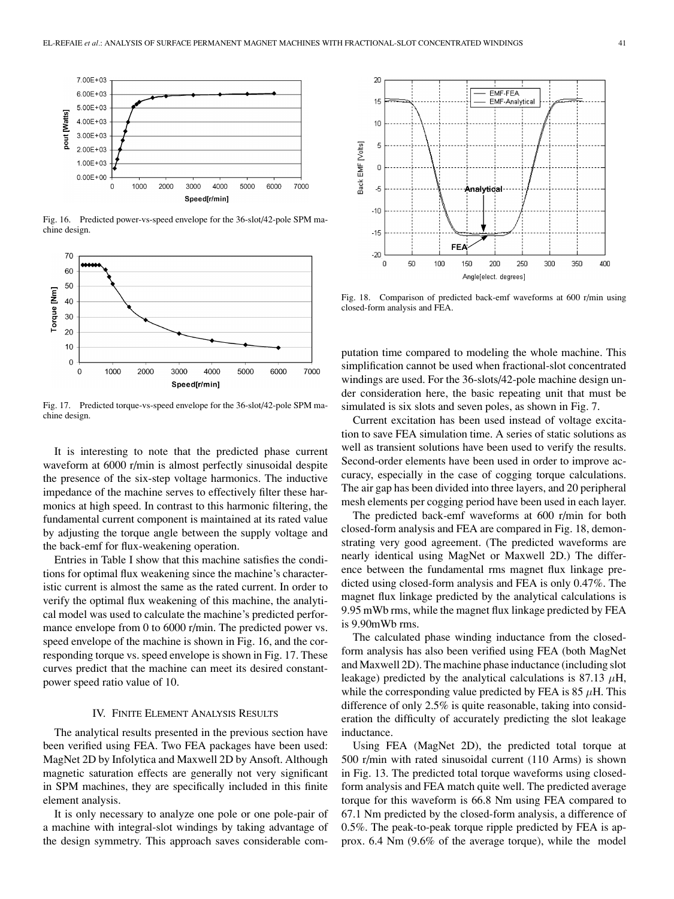

Fig. 16. Predicted power-vs-speed envelope for the 36-slot/42-pole SPM machine design.



Fig. 17. Predicted torque-vs-speed envelope for the 36-slot/42-pole SPM machine design.

It is interesting to note that the predicted phase current waveform at 6000 r/min is almost perfectly sinusoidal despite the presence of the six-step voltage harmonics. The inductive impedance of the machine serves to effectively filter these harmonics at high speed. In contrast to this harmonic filtering, the fundamental current component is maintained at its rated value by adjusting the torque angle between the supply voltage and the back-emf for flux-weakening operation.

Entries in Table I show that this machine satisfies the conditions for optimal flux weakening since the machine's characteristic current is almost the same as the rated current. In order to verify the optimal flux weakening of this machine, the analytical model was used to calculate the machine's predicted performance envelope from 0 to 6000 r/min. The predicted power vs. speed envelope of the machine is shown in Fig. 16, and the corresponding torque vs. speed envelope is shown in Fig. 17. These curves predict that the machine can meet its desired constantpower speed ratio value of 10.

## IV. FINITE ELEMENT ANALYSIS RESULTS

The analytical results presented in the previous section have been verified using FEA. Two FEA packages have been used: MagNet 2D by Infolytica and Maxwell 2D by Ansoft. Although magnetic saturation effects are generally not very significant in SPM machines, they are specifically included in this finite element analysis.

It is only necessary to analyze one pole or one pole-pair of a machine with integral-slot windings by taking advantage of the design symmetry. This approach saves considerable com-



Fig. 18. Comparison of predicted back-emf waveforms at 600 r/min using closed-form analysis and FEA.

putation time compared to modeling the whole machine. This simplification cannot be used when fractional-slot concentrated windings are used. For the 36-slots/42-pole machine design under consideration here, the basic repeating unit that must be simulated is six slots and seven poles, as shown in Fig. 7.

Current excitation has been used instead of voltage excitation to save FEA simulation time. A series of static solutions as well as transient solutions have been used to verify the results. Second-order elements have been used in order to improve accuracy, especially in the case of cogging torque calculations. The air gap has been divided into three layers, and 20 peripheral mesh elements per cogging period have been used in each layer.

The predicted back-emf waveforms at 600 r/min for both closed-form analysis and FEA are compared in Fig. 18, demonstrating very good agreement. (The predicted waveforms are nearly identical using MagNet or Maxwell 2D.) The difference between the fundamental rms magnet flux linkage predicted using closed-form analysis and FEA is only 0.47%. The magnet flux linkage predicted by the analytical calculations is 9.95 mWb rms, while the magnet flux linkage predicted by FEA is 9.90mWb rms.

The calculated phase winding inductance from the closedform analysis has also been verified using FEA (both MagNet and Maxwell 2D). The machine phase inductance (including slot leakage) predicted by the analytical calculations is 87.13  $\mu$ H, while the corresponding value predicted by FEA is 85  $\mu$ H. This difference of only 2.5% is quite reasonable, taking into consideration the difficulty of accurately predicting the slot leakage inductance.

Using FEA (MagNet 2D), the predicted total torque at 500 r/min with rated sinusoidal current (110 Arms) is shown in Fig. 13. The predicted total torque waveforms using closedform analysis and FEA match quite well. The predicted average torque for this waveform is 66.8 Nm using FEA compared to 67.1 Nm predicted by the closed-form analysis, a difference of 0.5%. The peak-to-peak torque ripple predicted by FEA is approx. 6.4 Nm (9.6% of the average torque), while the model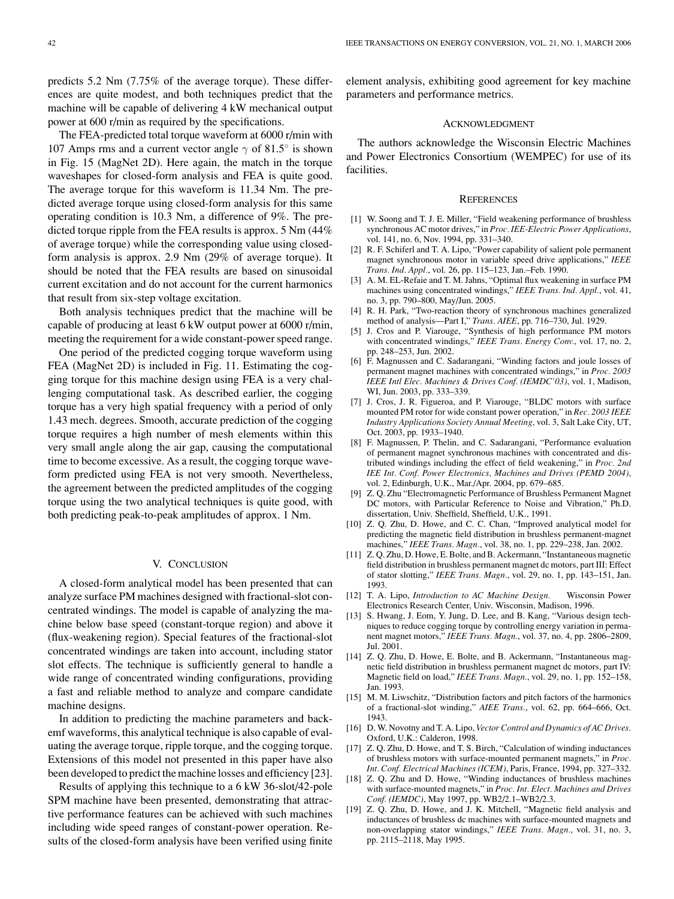predicts 5.2 Nm (7.75% of the average torque). These differences are quite modest, and both techniques predict that the machine will be capable of delivering 4 kW mechanical output power at 600 r/min as required by the specifications.

The FEA-predicted total torque waveform at 6000 r/min with 107 Amps rms and a current vector angle  $\gamma$  of 81.5° is shown in Fig. 15 (MagNet 2D). Here again, the match in the torque waveshapes for closed-form analysis and FEA is quite good. The average torque for this waveform is 11.34 Nm. The predicted average torque using closed-form analysis for this same operating condition is 10.3 Nm, a difference of 9%. The predicted torque ripple from the FEA results is approx. 5 Nm (44% of average torque) while the corresponding value using closedform analysis is approx. 2.9 Nm (29% of average torque). It should be noted that the FEA results are based on sinusoidal current excitation and do not account for the current harmonics that result from six-step voltage excitation.

Both analysis techniques predict that the machine will be capable of producing at least 6 kW output power at 6000 r/min, meeting the requirement for a wide constant-power speed range.

One period of the predicted cogging torque waveform using FEA (MagNet 2D) is included in Fig. 11. Estimating the cogging torque for this machine design using FEA is a very challenging computational task. As described earlier, the cogging torque has a very high spatial frequency with a period of only 1.43 mech. degrees. Smooth, accurate prediction of the cogging torque requires a high number of mesh elements within this very small angle along the air gap, causing the computational time to become excessive. As a result, the cogging torque waveform predicted using FEA is not very smooth. Nevertheless, the agreement between the predicted amplitudes of the cogging torque using the two analytical techniques is quite good, with both predicting peak-to-peak amplitudes of approx. 1 Nm.

#### V. CONCLUSION

A closed-form analytical model has been presented that can analyze surface PM machines designed with fractional-slot concentrated windings. The model is capable of analyzing the machine below base speed (constant-torque region) and above it (flux-weakening region). Special features of the fractional-slot concentrated windings are taken into account, including stator slot effects. The technique is sufficiently general to handle a wide range of concentrated winding configurations, providing a fast and reliable method to analyze and compare candidate machine designs.

In addition to predicting the machine parameters and backemf waveforms, this analytical technique is also capable of evaluating the average torque, ripple torque, and the cogging torque. Extensions of this model not presented in this paper have also been developed to predict the machine losses and efficiency [23].

Results of applying this technique to a 6 kW 36-slot/42-pole SPM machine have been presented, demonstrating that attractive performance features can be achieved with such machines including wide speed ranges of constant-power operation. Results of the closed-form analysis have been verified using finite

element analysis, exhibiting good agreement for key machine parameters and performance metrics.

#### ACKNOWLEDGMENT

The authors acknowledge the Wisconsin Electric Machines and Power Electronics Consortium (WEMPEC) for use of its facilities.

#### **REFERENCES**

- [1] W. Soong and T. J. E. Miller, "Field weakening performance of brushless synchronous AC motor drives," in *Proc. IEE-Electric Power Applications*, vol. 141, no. 6, Nov. 1994, pp. 331–340.
- [2] R. F. Schiferl and T. A. Lipo, "Power capability of salient pole permanent magnet synchronous motor in variable speed drive applications," *IEEE Trans. Ind. Appl.*, vol. 26, pp. 115–123, Jan.–Feb. 1990.
- [3] A. M. EL-Refaie and T. M. Jahns, "Optimal flux weakening in surface PM machines using concentrated windings," *IEEE Trans. Ind. Appl.*, vol. 41, no. 3, pp. 790–800, May/Jun. 2005.
- [4] R. H. Park, "Two-reaction theory of synchronous machines generalized method of analysis—Part I," *Trans. AIEE*, pp. 716–730, Jul. 1929.
- [5] J. Cros and P. Viarouge, "Synthesis of high performance PM motors with concentrated windings," *IEEE Trans. Energy Conv.*, vol. 17, no. 2, pp. 248–253, Jun. 2002.
- [6] F. Magnussen and C. Sadarangani, "Winding factors and joule losses of permanent magnet machines with concentrated windings," in *Proc. 2003 IEEE Intl Elec. Machines & Drives Conf. (IEMDC'03)*, vol. 1, Madison, WI, Jun. 2003, pp. 333–339.
- [7] J. Cros, J. R. Figueroa, and P. Viarouge, "BLDC motors with surface mounted PM rotor for wide constant power operation," in *Rec. 2003 IEEE Industry Applications Society Annual Meeting*, vol. 3, Salt Lake City, UT, Oct. 2003, pp. 1933–1940.
- [8] F. Magnussen, P. Thelin, and C. Sadarangani, "Performance evaluation of permanent magnet synchronous machines with concentrated and distributed windings including the effect of field weakening," in *Proc. 2nd IEE Int. Conf. Power Electronics, Machines and Drives (PEMD 2004)*, vol. 2, Edinburgh, U.K., Mar./Apr. 2004, pp. 679–685.
- [9] Z. Q. Zhu "Electromagnetic Performance of Brushless Permanent Magnet DC motors, with Particular Reference to Noise and Vibration," Ph.D. dissertation, Univ. Sheffield, Sheffield, U.K., 1991.
- [10] Z. Q. Zhu, D. Howe, and C. C. Chan, "Improved analytical model for predicting the magnetic field distribution in brushless permanent-magnet machines," *IEEE Trans. Magn.*, vol. 38, no. 1, pp. 229–238, Jan. 2002.
- [11] Z. Q. Zhu, D. Howe, E. Bolte, and B. Ackermann, "Instantaneous magnetic field distribution in brushless permanent magnet dc motors, part III: Effect of stator slotting," *IEEE Trans. Magn.*, vol. 29, no. 1, pp. 143–151, Jan. 1993.
- [12] T. A. Lipo, *Introduction to AC Machine Design.* Wisconsin Power Electronics Research Center, Univ. Wisconsin, Madison, 1996.
- [13] S. Hwang, J. Eom, Y. Jung, D. Lee, and B. Kang, "Various design techniques to reduce cogging torque by controlling energy variation in permanent magnet motors," *IEEE Trans. Magn.*, vol. 37, no. 4, pp. 2806–2809, Jul. 2001.
- [14] Z. Q. Zhu, D. Howe, E. Bolte, and B. Ackermann, "Instantaneous magnetic field distribution in brushless permanent magnet dc motors, part IV: Magnetic field on load," *IEEE Trans. Magn.*, vol. 29, no. 1, pp. 152–158, Jan. 1993.
- [15] M. M. Liwschitz, "Distribution factors and pitch factors of the harmonics of a fractional-slot winding," *AIEE Trans.*, vol. 62, pp. 664–666, Oct. 1943.
- [16] D. W. Novotny and T. A. Lipo, *Vector Control and Dynamics of AC Drives.* Oxford, U.K.: Calderon, 1998.
- [17] Z. Q. Zhu, D. Howe, and T. S. Birch, "Calculation of winding inductances of brushless motors with surface-mounted permanent magnets," in *Proc. Int. Conf. Electrical Machines (ICEM)*, Paris, France, 1994, pp. 327–332.
- [18] Z. Q. Zhu and D. Howe, "Winding inductances of brushless machines with surface-mounted magnets," in *Proc. Int. Elect. Machines and Drives Conf. (IEMDC)*, May 1997, pp. WB2/2.1–WB2/2.3.
- [19] Z. Q. Zhu, D. Howe, and J. K. Mitchell, "Magnetic field analysis and inductances of brushless dc machines with surface-mounted magnets and non-overlapping stator windings," *IEEE Trans. Magn.*, vol. 31, no. 3, pp. 2115–2118, May 1995.